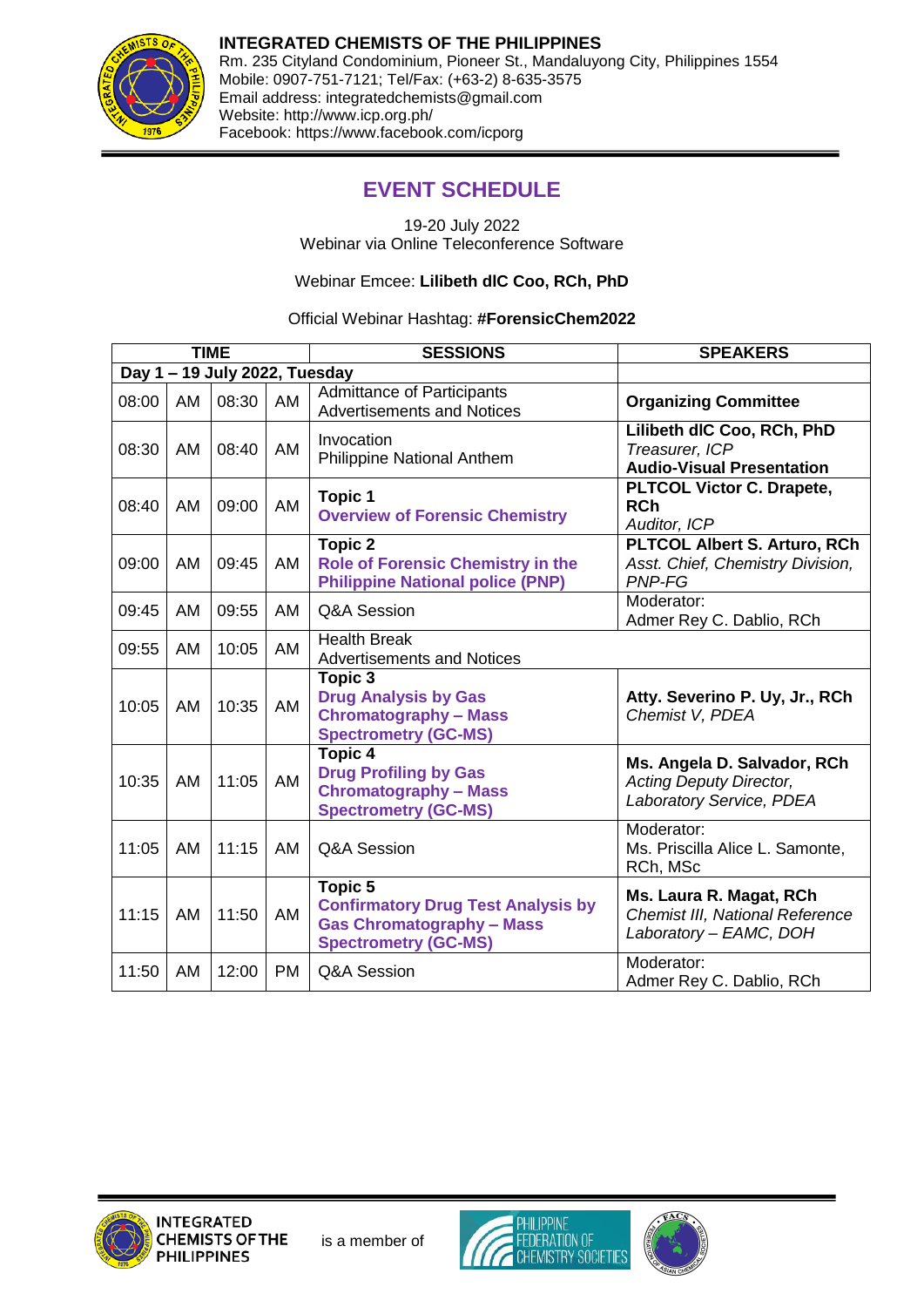

**INTEGRATED CHEMISTS OF THE PHILIPPINES** Rm. 235 Cityland Condominium, Pioneer St., Mandaluyong City, Philippines 1554 Mobile: 0907-751-7121; Tel/Fax: (+63-2) 8-635-3575 Email address: integratedchemists@gmail.com Website: http://www.icp.org.ph/ Facebook: https://www.facebook.com/icporg

## **EVENT SCHEDULE**

19-20 July 2022 Webinar via Online Teleconference Software

Webinar Emcee: **Lilibeth dlC Coo, RCh, PhD**

## Official Webinar Hashtag: **#ForensicChem2022**

| <b>TIME</b>                   |    |       |     | <b>SESSIONS</b>                                                                                                         | <b>SPEAKERS</b>                                                                             |  |  |  |  |
|-------------------------------|----|-------|-----|-------------------------------------------------------------------------------------------------------------------------|---------------------------------------------------------------------------------------------|--|--|--|--|
| Day 1 - 19 July 2022, Tuesday |    |       |     |                                                                                                                         |                                                                                             |  |  |  |  |
| 08:00                         | AM | 08:30 | AM  | <b>Admittance of Participants</b><br><b>Advertisements and Notices</b>                                                  | <b>Organizing Committee</b>                                                                 |  |  |  |  |
| 08:30                         | AM | 08:40 | AM  | Invocation<br>Philippine National Anthem                                                                                | Lilibeth dlC Coo, RCh, PhD<br>Treasurer, ICP<br><b>Audio-Visual Presentation</b>            |  |  |  |  |
| 08:40                         | AM | 09:00 | AM  | <b>Topic 1</b><br><b>Overview of Forensic Chemistry</b>                                                                 | <b>PLTCOL Victor C. Drapete,</b><br><b>RCh</b><br>Auditor, ICP                              |  |  |  |  |
| 09:00                         | AM | 09:45 | AM  | <b>Topic 2</b><br><b>Role of Forensic Chemistry in the</b><br><b>Philippine National police (PNP)</b>                   | <b>PLTCOL Albert S. Arturo, RCh</b><br>Asst. Chief, Chemistry Division,<br>PNP-FG           |  |  |  |  |
| 09:45                         | AM | 09:55 | AM  | Q&A Session                                                                                                             | Moderator:<br>Admer Rey C. Dablio, RCh                                                      |  |  |  |  |
| 09:55                         | AM | 10:05 | AM  | <b>Health Break</b><br><b>Advertisements and Notices</b>                                                                |                                                                                             |  |  |  |  |
| 10:05                         | AM | 10:35 | AM  | Topic 3<br><b>Drug Analysis by Gas</b><br><b>Chromatography - Mass</b><br><b>Spectrometry (GC-MS)</b>                   | Atty. Severino P. Uy, Jr., RCh<br>Chemist V, PDEA                                           |  |  |  |  |
| 10:35                         | AM | 11:05 | AM  | Topic 4<br><b>Drug Profiling by Gas</b><br><b>Chromatography - Mass</b><br><b>Spectrometry (GC-MS)</b>                  | Ms. Angela D. Salvador, RCh<br><b>Acting Deputy Director,</b><br>Laboratory Service, PDEA   |  |  |  |  |
| 11:05                         | AM | 11:15 | AM  | Q&A Session                                                                                                             | Moderator:<br>Ms. Priscilla Alice L. Samonte,<br>RCh, MSc                                   |  |  |  |  |
| 11:15                         | AM | 11:50 | AM  | Topic 5<br><b>Confirmatory Drug Test Analysis by</b><br><b>Gas Chromatography - Mass</b><br><b>Spectrometry (GC-MS)</b> | Ms. Laura R. Magat, RCh<br><b>Chemist III, National Reference</b><br>Laboratory - EAMC, DOH |  |  |  |  |
| 11:50                         | AM | 12:00 | PM. | Q&A Session                                                                                                             | Moderator:<br>Admer Rey C. Dablio, RCh                                                      |  |  |  |  |